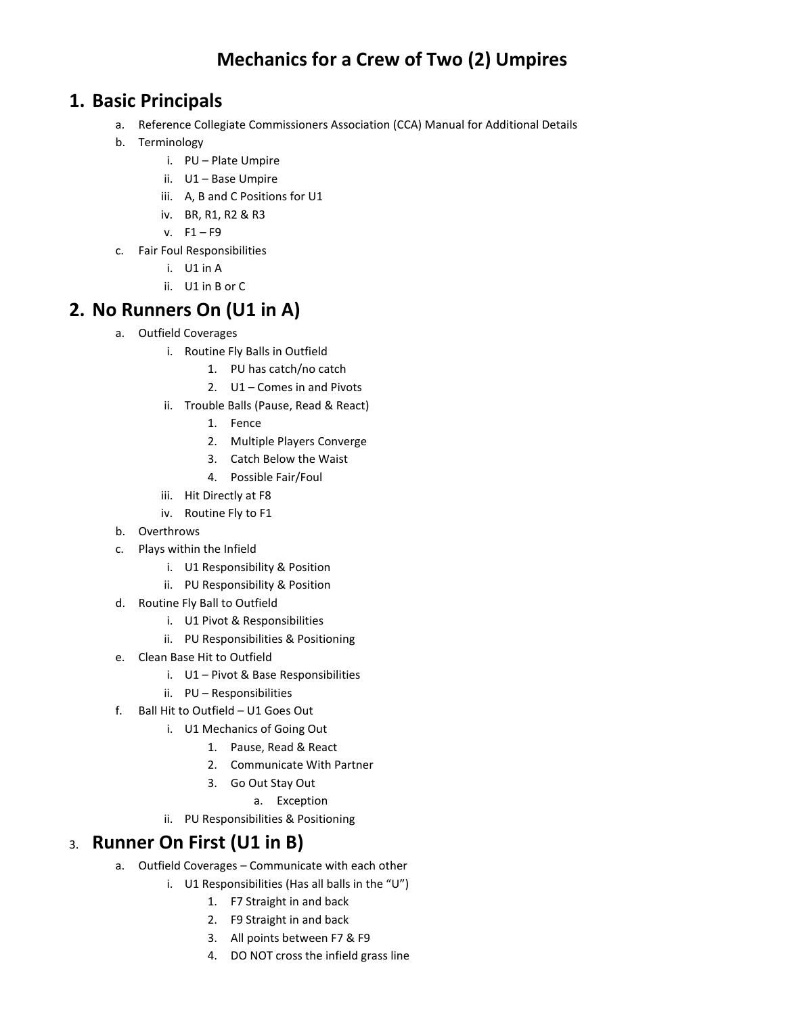# **Mechanics for a Crew of Two (2) Umpires**

#### **1. Basic Principals**

- a. Reference Collegiate Commissioners Association (CCA) Manual for Additional Details
- b. Terminology
	- i. PU Plate Umpire
	- ii. U1 Base Umpire
	- iii. A, B and C Positions for U1
	- iv. BR, R1, R2 & R3
	- $v. F1 F9$
- c. Fair Foul Responsibilities
	- i. U1 in A
	- ii. U1 in B or C

## **2. No Runners On (U1 in A)**

- a. Outfield Coverages
	- i. Routine Fly Balls in Outfield
		- 1. PU has catch/no catch
		- 2. U1 Comes in and Pivots
	- ii. Trouble Balls (Pause, Read & React)
		- 1. Fence
		- 2. Multiple Players Converge
		- 3. Catch Below the Waist
		- 4. Possible Fair/Foul
	- iii. Hit Directly at F8
	- iv. Routine Fly to F1
- b. Overthrows
- c. Plays within the Infield
	- i. U1 Responsibility & Position
	- ii. PU Responsibility & Position
- d. Routine Fly Ball to Outfield
	- i. U1 Pivot & Responsibilities
	- ii. PU Responsibilities & Positioning
- e. Clean Base Hit to Outfield
	- i. U1 Pivot & Base Responsibilities
	- ii. PU Responsibilities
- f. Ball Hit to Outfield U1 Goes Out
	- i. U1 Mechanics of Going Out
		- 1. Pause, Read & React
		- 2. Communicate With Partner
		- 3. Go Out Stay Out
			- a. Exception
	- ii. PU Responsibilities & Positioning

## 3. **Runner On First (U1 in B)**

- a. Outfield Coverages Communicate with each other
	- i. U1 Responsibilities (Has all balls in the "U")
		- 1. F7 Straight in and back
		- 2. F9 Straight in and back
		- 3. All points between F7 & F9
		- 4. DO NOT cross the infield grass line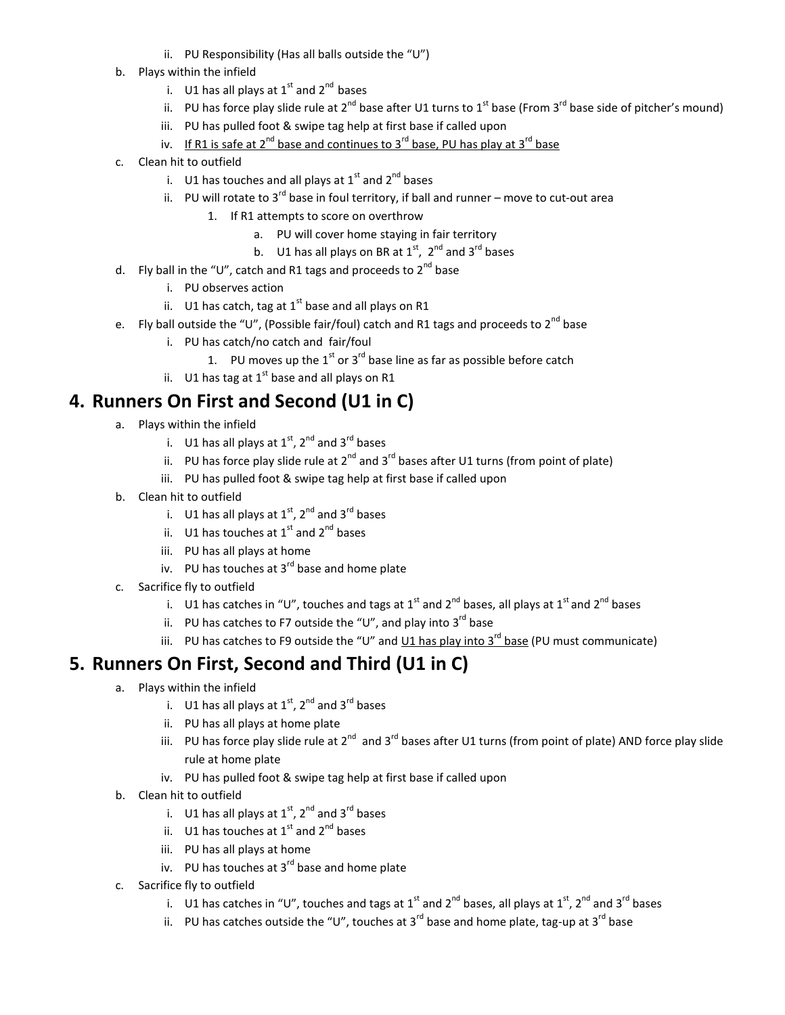- ii. PU Responsibility (Has all balls outside the "U")
- b. Plays within the infield
	- i. U1 has all plays at  $1<sup>st</sup>$  and  $2<sup>nd</sup>$  bases
	- ii. PU has force play slide rule at  $2^{nd}$  base after U1 turns to  $1^{st}$  base (From  $3^{rd}$  base side of pitcher's mound)
	- iii. PU has pulled foot & swipe tag help at first base if called upon
	- iv. If R1 is safe at  $2^{nd}$  base and continues to  $3^{rd}$  base, PU has play at  $3^{rd}$  base
- c. Clean hit to outfield
	- i. U1 has touches and all plays at  $1<sup>st</sup>$  and  $2<sup>nd</sup>$  bases
	- ii. PU will rotate to  $3^{rd}$  base in foul territory, if ball and runner move to cut-out area
		- 1. If R1 attempts to score on overthrow
			- a. PU will cover home staying in fair territory
			- b. U1 has all plays on BR at  $1<sup>st</sup>$ ,  $2<sup>nd</sup>$  and  $3<sup>rd</sup>$  bases
- d. Fly ball in the "U", catch and R1 tags and proceeds to  $2^{nd}$  base
	- i. PU observes action
	- ii. U1 has catch, tag at  $1<sup>st</sup>$  base and all plays on R1
- e. Fly ball outside the "U", (Possible fair/foul) catch and R1 tags and proceeds to  $2^{nd}$  base
	- i. PU has catch/no catch and fair/foul
		- 1. PU moves up the  $1<sup>st</sup>$  or  $3<sup>rd</sup>$  base line as far as possible before catch
	- ii. U1 has tag at  $1^{st}$  base and all plays on R1

#### **4. Runners On First and Second (U1 in C)**

- a. Plays within the infield
	- i. U1 has all plays at  $1^{st}$ ,  $2^{nd}$  and  $3^{rd}$  bases
	- ii. PU has force play slide rule at  $2^{nd}$  and  $3^{rd}$  bases after U1 turns (from point of plate)
	- iii. PU has pulled foot & swipe tag help at first base if called upon
- b. Clean hit to outfield
	- i. U1 has all plays at  $1^{st}$ ,  $2^{nd}$  and  $3^{rd}$  bases
	- ii.  $U1$  has touches at  $1^{st}$  and  $2^{nd}$  bases
	- iii. PU has all plays at home
	- iv. PU has touches at  $3^{rd}$  base and home plate
- c. Sacrifice fly to outfield
	- i. U1 has catches in "U", touches and tags at 1<sup>st</sup> and 2<sup>nd</sup> bases, all plays at 1<sup>st</sup> and 2<sup>nd</sup> bases
	- ii. PU has catches to F7 outside the "U", and play into 3<sup>rd</sup> base
	- iii. PU has catches to F9 outside the "U" and  $\underline{U1}$  has play into  $3^{rd}$  base (PU must communicate)

## **5. Runners On First, Second and Third (U1 in C)**

- a. Plays within the infield
	- i. U1 has all plays at  $1^{st}$ ,  $2^{nd}$  and  $3^{rd}$  bases
	- ii. PU has all plays at home plate
	- iii. PU has force play slide rule at 2<sup>nd</sup> and 3<sup>rd</sup> bases after U1 turns (from point of plate) AND force play slide rule at home plate
	- iv. PU has pulled foot & swipe tag help at first base if called upon
- b. Clean hit to outfield
	- i. U1 has all plays at  $1<sup>st</sup>$ ,  $2<sup>nd</sup>$  and  $3<sup>rd</sup>$  bases
	- ii.  $U1$  has touches at  $1^{st}$  and  $2^{nd}$  bases
	- iii. PU has all plays at home
	- iv. PU has touches at  $3^{rd}$  base and home plate
- c. Sacrifice fly to outfield
	- i. U1 has catches in "U", touches and tags at 1<sup>st</sup> and 2<sup>nd</sup> bases, all plays at 1<sup>st</sup>, 2<sup>nd</sup> and 3<sup>rd</sup> bases
	- ii. PU has catches outside the "U", touches at 3<sup>rd</sup> base and home plate, tag-up at 3<sup>rd</sup> base